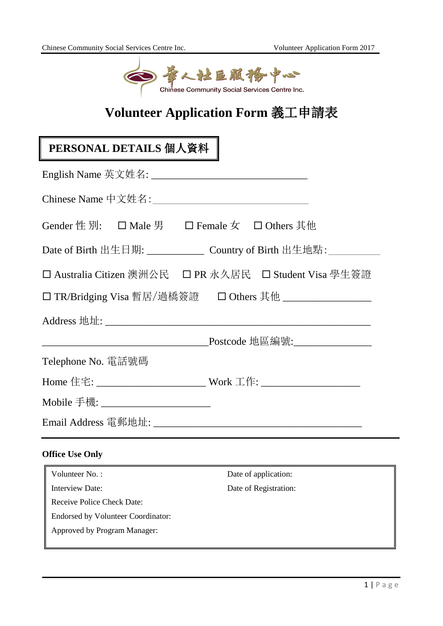

## **Volunteer Application Form** 義工申請表

# **PERSONAL DETAILS** 個人資料

| Gender 性 別: □ Male 男 □ Female 女 □ Others 其他                                                                          |                                |
|----------------------------------------------------------------------------------------------------------------------|--------------------------------|
|                                                                                                                      |                                |
| □ Australia Citizen 澳洲公民 □ PR 永久居民 □ Student Visa 學生簽證                                                               |                                |
|                                                                                                                      |                                |
|                                                                                                                      |                                |
| <u> 1989 - Johann Stein, mars ann an t-Amhain an t-Amhain an t-Amhain an t-Amhain an t-Amhain an t-Amhain an t-A</u> | _Postcode 地區編號:_______________ |
| Telephone No. 電話號碼                                                                                                   |                                |
| Home 住宅: _____________________________ Work 工作: _________________________________                                    |                                |
| Mobile 手機: _______________________                                                                                   |                                |
|                                                                                                                      |                                |
| <b>Office Use Only</b>                                                                                               |                                |
| Volunteer No.:                                                                                                       | Date of application:           |
| Interview Date:                                                                                                      | Date of Registration:          |

Receive Police Check Date: Endorsed by Volunteer Coordinator:

Approved by Program Manager: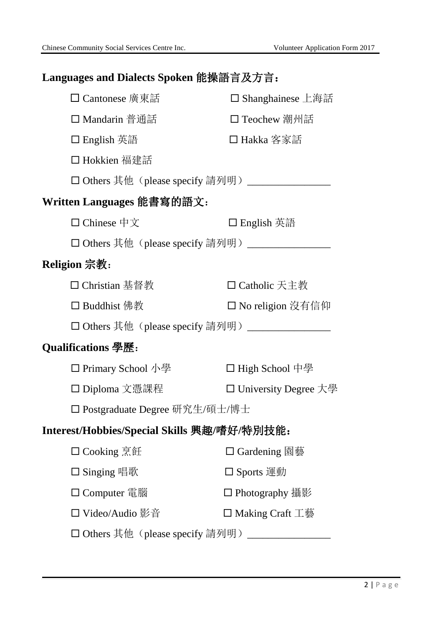## **Languages and Dialects Spoken** 能操語言及方言:

| □ Cantonese 廣東話                                  | □ Shanghainese 上海話     |  |
|--------------------------------------------------|------------------------|--|
| □ Mandarin 普通話                                   | □ Teochew 潮州話          |  |
| □ English 英語                                     | □ Hakka 客家話            |  |
| □ Hokkien 福建話                                    |                        |  |
| □ Others 其他 (please specify 請列明) ____            |                        |  |
| Written Languages 能書寫的語文:                        |                        |  |
| □ Chinese 中文                                     | □ English 英語           |  |
| □ Others 其他 (please specify 請列明) _____           |                        |  |
| <b>Religion 宗教:</b>                              |                        |  |
| □ Christian 基督教                                  | □ Catholic 天主教         |  |
| □ Buddhist 佛教                                    | □ No religion 沒有信仰     |  |
| □ Others 其他 (please specify 請列明) _______________ |                        |  |
| <b>Qualifications 學歷:</b>                        |                        |  |
| □ Primary School 小學                              | □ High School 中學       |  |
| □ Diploma 文憑課程                                   | □ University Degree 大學 |  |
| □ Postgraduate Degree 研究生/碩士/博士                  |                        |  |
| Interest/Hobbies/Special Skills 興趣/嗜好/特別技能:      |                        |  |
| □ Cooking 烹飪                                     | □ Gardening 園藝         |  |
| □ Singing 唱歌                                     | □ Sports 運動            |  |
| □ Computer 電腦                                    | □ Photography 攝影       |  |
| □ Video/Audio 影音                                 | □ Making Craft 工藝      |  |
| □ Others 其他 (please specify 請列明)                 |                        |  |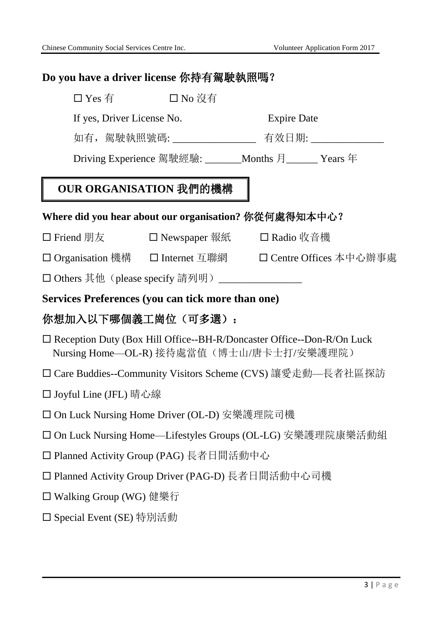| Do you have a driver license 你持有駕駛執照嗎?                                                                                    |  |  |  |  |
|---------------------------------------------------------------------------------------------------------------------------|--|--|--|--|
| □ Yes 有 コ No 沒有                                                                                                           |  |  |  |  |
| If yes, Driver License No.<br><b>Expire Date</b>                                                                          |  |  |  |  |
| 如有,駕駛執照號碼:___________________ 有效日期: ______________                                                                        |  |  |  |  |
| Driving Experience 駕駛經驗: _______Months 月______ Years 年                                                                    |  |  |  |  |
| OUR ORGANISATION 我們的機構                                                                                                    |  |  |  |  |
| Where did you hear about our organisation? 你從何處得知本中心?                                                                     |  |  |  |  |
| □ Friend 朋友<br>□ Newspaper 報紙   □ Radio 收音機                                                                               |  |  |  |  |
| □ Organisation 機構   □ Internet 互聯網<br>□ Centre Offices 本中心辦事處                                                             |  |  |  |  |
| □ Others 其他 (please specify 請列明) ______________                                                                           |  |  |  |  |
| Services Preferences (you can tick more than one)                                                                         |  |  |  |  |
| 你想加入以下哪個義工崗位(可多選):                                                                                                        |  |  |  |  |
| $\Box$ Reception Duty (Box Hill Office--BH-R/Doncaster Office--Don-R/On Luck<br>Nursing Home—OL-R) 接待處當值 (博士山/唐卡士打/安樂護理院) |  |  |  |  |
| □ Care Buddies--Community Visitors Scheme (CVS) 讓愛走動—長者社區探訪                                                               |  |  |  |  |
| □ Joyful Line (JFL) 晴心線                                                                                                   |  |  |  |  |
| □ On Luck Nursing Home Driver (OL-D) 安樂護理院司機                                                                              |  |  |  |  |
| □ On Luck Nursing Home—Lifestyles Groups (OL-LG) 安樂護理院康樂活動組                                                               |  |  |  |  |
| □ Planned Activity Group (PAG) 長者日間活動中心                                                                                   |  |  |  |  |
| □ Planned Activity Group Driver (PAG-D) 長者日間活動中心司機                                                                        |  |  |  |  |
| □ Walking Group (WG) 健樂行                                                                                                  |  |  |  |  |
| □ Special Event (SE) 特別活動                                                                                                 |  |  |  |  |
|                                                                                                                           |  |  |  |  |
|                                                                                                                           |  |  |  |  |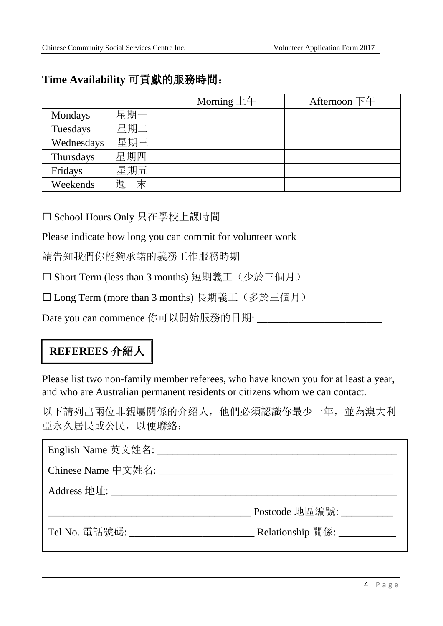#### **Time Availability** 可貢獻的服務時間:

|            |        | Morning $E$ $\pm$ $\pm$ | Afternoon 下午 |
|------------|--------|-------------------------|--------------|
| Mondays    | 星期一    |                         |              |
| Tuesdays   | 星期二    |                         |              |
| Wednesdays | 星期三    |                         |              |
| Thursdays  | 星期四    |                         |              |
| Fridays    | 星期五    |                         |              |
| Weekends   | 末<br>週 |                         |              |

School Hours Only 只在學校上課時間

Please indicate how long you can commit for volunteer work

請告知我們你能夠承諾的義務工作服務時期

□ Short Term (less than 3 months) 短期義工(少於三個月)

□ Long Term (more than 3 months) 長期義工(多於三個月)

Date you can commence 你可以開始服務的日期: \_\_\_\_\_\_\_\_\_\_\_\_

### **REFEREES** 介紹人

Please list two non-family member referees, who have known you for at least a year, and who are Australian permanent residents or citizens whom we can contact.

以下請列出兩位非親屬關係的介紹人,他們必須認識你最少一年,並為澳大利 亞永久居民或公民,以便聯絡:

| Chinese Name 中文姓名:                    |                               |
|---------------------------------------|-------------------------------|
|                                       |                               |
|                                       | Postcode 地區編號:                |
| Tel No. 電話號碼: _______________________ | Relationship 關係: ____________ |